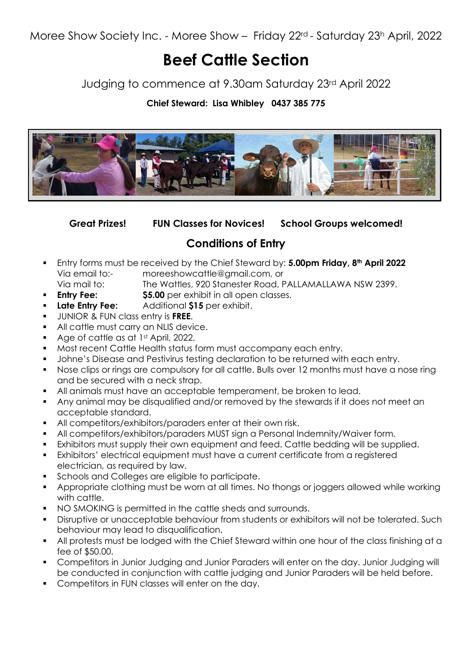Moree Show Society Inc. - Moree Show – Friday 22rd - Saturday 23h April, 2022

# Beef Cattle Section

Judging to commence at 9.30am Saturday 23rd April 2022

### Chief Steward: Lisa Whibley 0437 385 775



Great Prizes! FUN Classes for Novices! School Groups welcomed!

## Conditions of Entry

- Entry forms must be received by the Chief Steward by: 5.00pm Friday, 8<sup>th</sup> April 2022 Via email to:- moreeshowcattle@gmail.com, or Via mail to: The Wattles, 920 Stanester Road, PALLAMALLAWA NSW 2399.
- **Entry Fee:** \$5.00 per exhibit in all open classes.
- **Late Entry Fee:** Additional \$15 per exhibit.
- UNIOR & FUN class entry is FREE.
- All cattle must carry an NLIS device.
- Age of cattle as at 1st April, 2022.
- Most recent Cattle Health status form must accompany each entry.
- **Johne's Disease and Pestivirus testing declaration to be returned with each entry.**
- Nose clips or rings are compulsory for all cattle. Bulls over 12 months must have a nose ring and be secured with a neck strap.
- All animals must have an acceptable temperament, be broken to lead.
- Any animal may be disqualified and/or removed by the stewards if it does not meet an acceptable standard.
- All competitors/exhibitors/paraders enter at their own risk.
- All competitors/exhibitors/paraders MUST sign a Personal Indemnity/Waiver form.
- Exhibitors must supply their own equipment and feed. Cattle bedding will be supplied.
- Exhibitors' electrical equipment must have a current certificate from a registered electrician, as required by law.
- **Schools and Colleges are eligible to participate.**
- Appropriate clothing must be worn at all times. No thongs or joggers allowed while working with cattle.
- NO SMOKING is permitted in the cattle sheds and surrounds.
- **Disruptive or unacceptable behaviour from students or exhibitors will not be tolerated. Such** behaviour may lead to disqualification.
- All protests must be lodged with the Chief Steward within one hour of the class finishing at a fee of \$50.00.
- Competitors in Junior Judging and Junior Paraders will enter on the day. Junior Judging will be conducted in conjunction with cattle judging and Junior Paraders will be held before.
- Competitors in FUN classes will enter on the day.